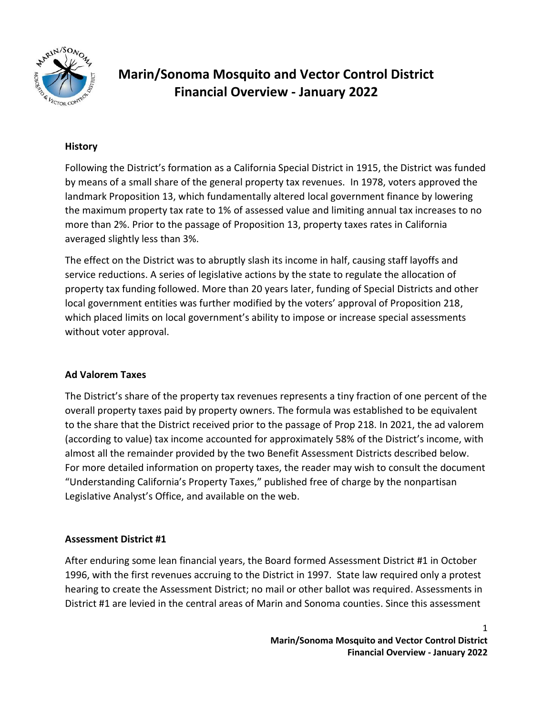

# **Marin/Sonoma Mosquito and Vector Control District Financial Overview - January 2022**

## **History**

Following the District's formation as a California Special District in 1915, the District was funded by means of a small share of the general property tax revenues. In 1978, voters approved the landmark Proposition 13, which fundamentally altered local government finance by lowering the maximum property tax rate to 1% of assessed value and limiting annual tax increases to no more than 2%. Prior to the passage of Proposition 13, property taxes rates in California averaged slightly less than 3%.

The effect on the District was to abruptly slash its income in half, causing staff layoffs and service reductions. A series of legislative actions by the state to regulate the allocation of property tax funding followed. More than 20 years later, funding of Special Districts and other local government entities was further modified by the voters' approval of Proposition 218, which placed limits on local government's ability to impose or increase special assessments without voter approval.

## **Ad Valorem Taxes**

The District's share of the property tax revenues represents a tiny fraction of one percent of the overall property taxes paid by property owners. The formula was established to be equivalent to the share that the District received prior to the passage of Prop 218. In 2021, the ad valorem (according to value) tax income accounted for approximately 58% of the District's income, with almost all the remainder provided by the two Benefit Assessment Districts described below. For more detailed information on property taxes, the reader may wish to consult the document "Understanding California's Property Taxes," published free of charge by the nonpartisan Legislative Analyst's Office, and available on the web.

## **Assessment District #1**

After enduring some lean financial years, the Board formed Assessment District #1 in October 1996, with the first revenues accruing to the District in 1997. State law required only a protest hearing to create the Assessment District; no mail or other ballot was required. Assessments in District #1 are levied in the central areas of Marin and Sonoma counties. Since this assessment

1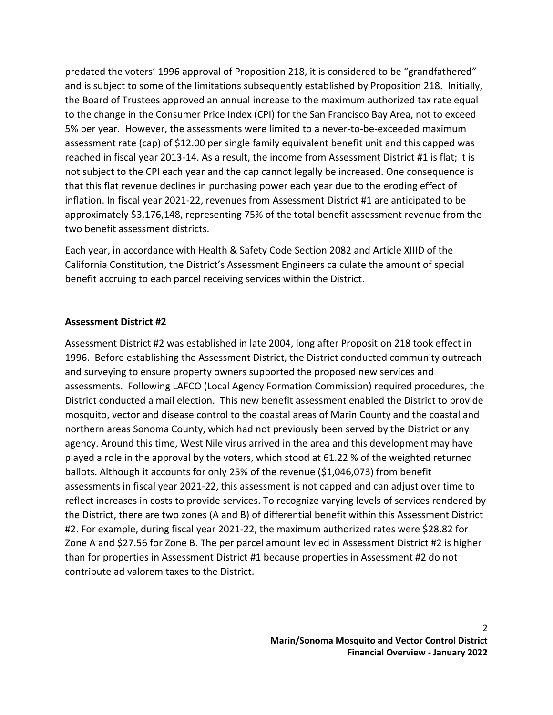predated the voters' 1996 approval of Proposition 218, it is considered to be "grandfathered" and is subject to some of the limitations subsequently established by Proposition 218. Initially, the Board of Trustees approved an annual increase to the maximum authorized tax rate equal to the change in the Consumer Price Index (CPI) for the San Francisco Bay Area, not to exceed 5% per year. However, the assessments were limited to a never-to-be-exceeded maximum assessment rate (cap) of \$12.00 per single family equivalent benefit unit and this capped was reached in fiscal year 2013-14. As a result, the income from Assessment District #1 is flat; it is not subject to the CPI each year and the cap cannot legally be increased. One consequence is that this flat revenue declines in purchasing power each year due to the eroding effect of inflation. In fiscal year 2021-22, revenues from Assessment District #1 are anticipated to be approximately \$3,176,148, representing 75% of the total benefit assessment revenue from the two benefit assessment districts.

Each year, in accordance with Health & Safety Code Section 2082 and Article XIIID of the California Constitution, the District's Assessment Engineers calculate the amount of special benefit accruing to each parcel receiving services within the District.

#### **Assessment District #2**

Assessment District #2 was established in late 2004, long after Proposition 218 took effect in 1996. Before establishing the Assessment District, the District conducted community outreach and surveying to ensure property owners supported the proposed new services and assessments. Following LAFCO (Local Agency Formation Commission) required procedures, the District conducted a mail election. This new benefit assessment enabled the District to provide mosquito, vector and disease control to the coastal areas of Marin County and the coastal and northern areas Sonoma County, which had not previously been served by the District or any agency. Around this time, West Nile virus arrived in the area and this development may have played a role in the approval by the voters, which stood at 61.22 % of the weighted returned ballots. Although it accounts for only 25% of the revenue (\$1,046,073) from benefit assessments in fiscal year 2021-22, this assessment is not capped and can adjust over time to reflect increases in costs to provide services. To recognize varying levels of services rendered by the District, there are two zones (A and B) of differential benefit within this Assessment District #2. For example, during fiscal year 2021-22, the maximum authorized rates were \$28.82 for Zone A and \$27.56 for Zone B. The per parcel amount levied in Assessment District #2 is higher than for properties in Assessment District #1 because properties in Assessment #2 do not contribute ad valorem taxes to the District.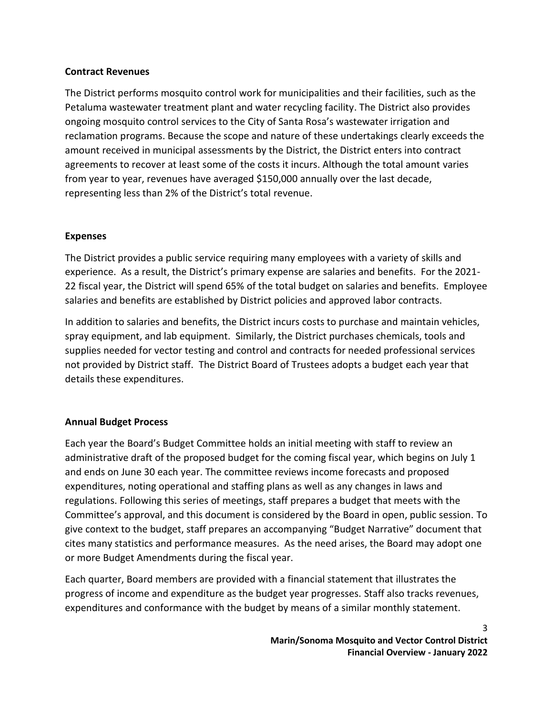#### **Contract Revenues**

The District performs mosquito control work for municipalities and their facilities, such as the Petaluma wastewater treatment plant and water recycling facility. The District also provides ongoing mosquito control services to the City of Santa Rosa's wastewater irrigation and reclamation programs. Because the scope and nature of these undertakings clearly exceeds the amount received in municipal assessments by the District, the District enters into contract agreements to recover at least some of the costs it incurs. Although the total amount varies from year to year, revenues have averaged \$150,000 annually over the last decade, representing less than 2% of the District's total revenue.

## **Expenses**

The District provides a public service requiring many employees with a variety of skills and experience. As a result, the District's primary expense are salaries and benefits. For the 2021- 22 fiscal year, the District will spend 65% of the total budget on salaries and benefits. Employee salaries and benefits are established by District policies and approved labor contracts.

In addition to salaries and benefits, the District incurs costs to purchase and maintain vehicles, spray equipment, and lab equipment. Similarly, the District purchases chemicals, tools and supplies needed for vector testing and control and contracts for needed professional services not provided by District staff. The District Board of Trustees adopts a budget each year that details these expenditures.

## **Annual Budget Process**

Each year the Board's Budget Committee holds an initial meeting with staff to review an administrative draft of the proposed budget for the coming fiscal year, which begins on July 1 and ends on June 30 each year. The committee reviews income forecasts and proposed expenditures, noting operational and staffing plans as well as any changes in laws and regulations. Following this series of meetings, staff prepares a budget that meets with the Committee's approval, and this document is considered by the Board in open, public session. To give context to the budget, staff prepares an accompanying "Budget Narrative" document that cites many statistics and performance measures. As the need arises, the Board may adopt one or more Budget Amendments during the fiscal year.

Each quarter, Board members are provided with a financial statement that illustrates the progress of income and expenditure as the budget year progresses. Staff also tracks revenues, expenditures and conformance with the budget by means of a similar monthly statement.

3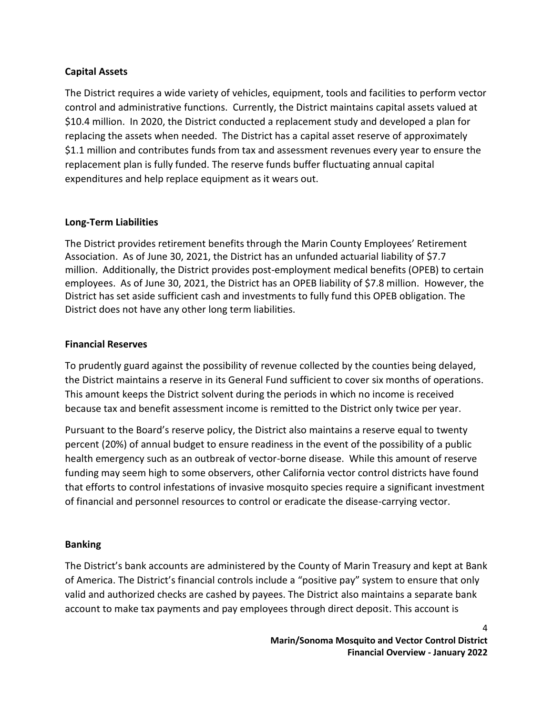### **Capital Assets**

The District requires a wide variety of vehicles, equipment, tools and facilities to perform vector control and administrative functions. Currently, the District maintains capital assets valued at \$10.4 million. In 2020, the District conducted a replacement study and developed a plan for replacing the assets when needed. The District has a capital asset reserve of approximately \$1.1 million and contributes funds from tax and assessment revenues every year to ensure the replacement plan is fully funded. The reserve funds buffer fluctuating annual capital expenditures and help replace equipment as it wears out.

### **Long-Term Liabilities**

The District provides retirement benefits through the Marin County Employees' Retirement Association. As of June 30, 2021, the District has an unfunded actuarial liability of \$7.7 million. Additionally, the District provides post-employment medical benefits (OPEB) to certain employees. As of June 30, 2021, the District has an OPEB liability of \$7.8 million. However, the District has set aside sufficient cash and investments to fully fund this OPEB obligation. The District does not have any other long term liabilities.

### **Financial Reserves**

To prudently guard against the possibility of revenue collected by the counties being delayed, the District maintains a reserve in its General Fund sufficient to cover six months of operations. This amount keeps the District solvent during the periods in which no income is received because tax and benefit assessment income is remitted to the District only twice per year.

Pursuant to the Board's reserve policy, the District also maintains a reserve equal to twenty percent (20%) of annual budget to ensure readiness in the event of the possibility of a public health emergency such as an outbreak of vector-borne disease. While this amount of reserve funding may seem high to some observers, other California vector control districts have found that efforts to control infestations of invasive mosquito species require a significant investment of financial and personnel resources to control or eradicate the disease-carrying vector.

## **Banking**

The District's bank accounts are administered by the County of Marin Treasury and kept at Bank of America. The District's financial controls include a "positive pay" system to ensure that only valid and authorized checks are cashed by payees. The District also maintains a separate bank account to make tax payments and pay employees through direct deposit. This account is

 $\Lambda$